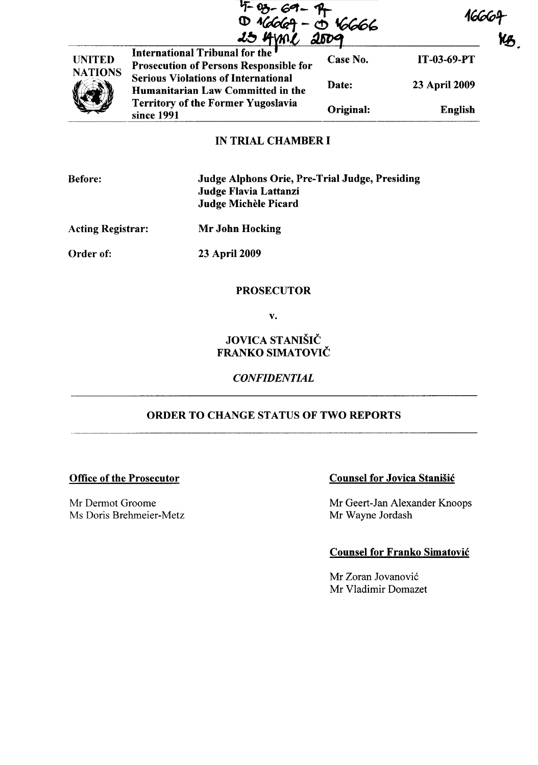|                                 | $4 - 89 - 69 - 9$<br>10 $46669 - 9$<br>25 AMPL                                  | $\frac{0.46666}{0.009}$ |               | Kß |
|---------------------------------|---------------------------------------------------------------------------------|-------------------------|---------------|----|
| <b>UNITED</b><br><b>NATIONS</b> | International Tribunal for the<br><b>Prosecution of Persons Responsible for</b> | Case No.                | IT-03-69-PT   |    |
|                                 | <b>Serious Violations of International</b><br>Humanitarian Law Committed in the | Date:                   | 23 April 2009 |    |
|                                 | <b>Territory of the Former Yugoslavia</b><br>since 1991                         | Original:               | English       |    |
|                                 | IN TDIAI <i>c</i> uamded                                                        |                         |               |    |

## IN TRIAL CHAMBER I

| <b>Before:</b> |
|----------------|
|----------------|

Judge Alphons Orie, Pre-Trial Judge, Presiding Judge Flavia Lattanzi Judge Michele Picard

Acting Registrar: Mr John Hocking

Order of: 23 April 2009

.

### PROSECUTOR

v.

JOVICA STANIŠIČ FRANKO SIMATOVIČ

### *CONFIDENTIAL*

# ORDER TO CHANGE STATUS OF TWO REPORTS

### Office of the Prosecutor

Mr Dermot Groome Ms Doris Brehmeier-Metz

## Counsel for Jovica Stanisic

Mr Geert-Jan Alexander Knoops Mr Wayne Jordash

### Counsel for Franko Simatovic

Mr Zoran Jovanovic Mr Vladimir Domazet